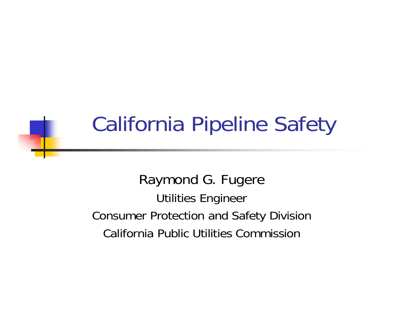### California Pipeline Safety

Raymond G. Fugere Utilities Engineer Consumer Protection and Safety Division California Public Utilities Commission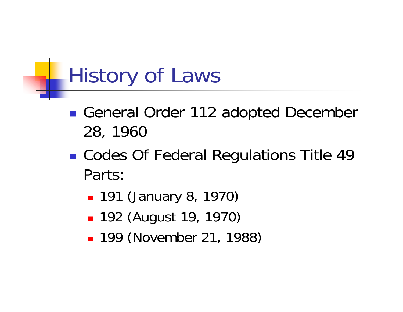### History of Laws

- **Service Service** ■ General Order 112 adopted December 28, 1960
- **Service Service** ■ Codes Of Federal Regulations Title 49 Parts:
	- 191 (January 8, 1970)
	- 192 (August 19, 1970)
	- 199 (November 21, 1988)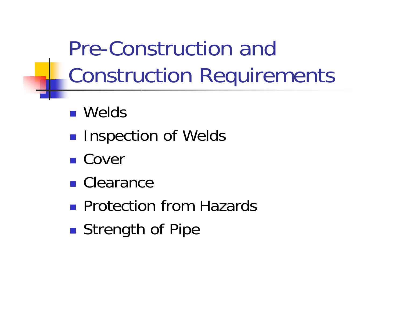Pre-Construction and Construction Requirements

- Welds
- **Inspection of Welds**
- Cover
- Clearance
- **Protection from Hazards**
- **Strength of Pipe**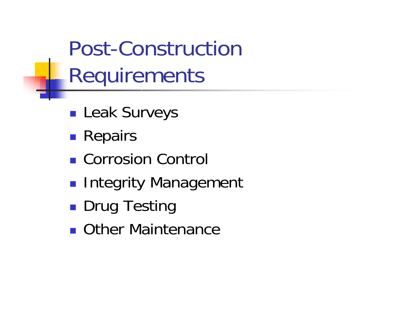Post-Construction Requirements

- **Service Service Leak Surveys**
- **Repairs**
- Corrosion Control
- **Service Service Integrity Management**
- **Drug Testing**
- **Duriel Maintenance**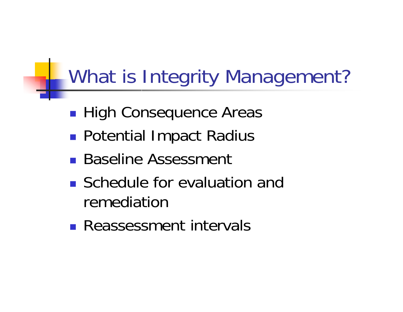#### What is Integrity Management?

- **Service Service High Consequence Areas**
- **Potential Impact Radius**
- Baseline Assessment
- **Schedule for evaluation and** remediation
- **Reassessment intervals**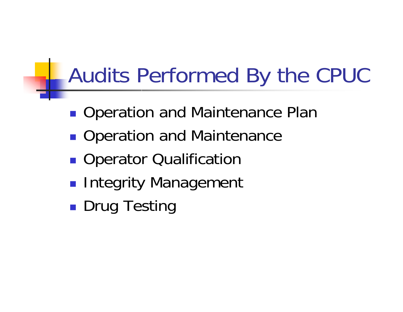## Audits Performed By the CPUC

- **Service Service Operation and Maintenance Plan**
- **Operation and Maintenance**
- **Operator Qualification**
- **Service Service Integrity Management**
- **Drug Testing**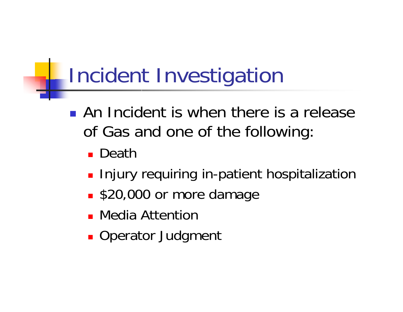# Incident Investigation

- **An Incident is when there is a release** of Gas and one of the following:
	- Death
	- **Injury requiring in-patient hospitalization**
	- **S20,000 or more damage**
	- Media Attention
	- **Derator Judgment**